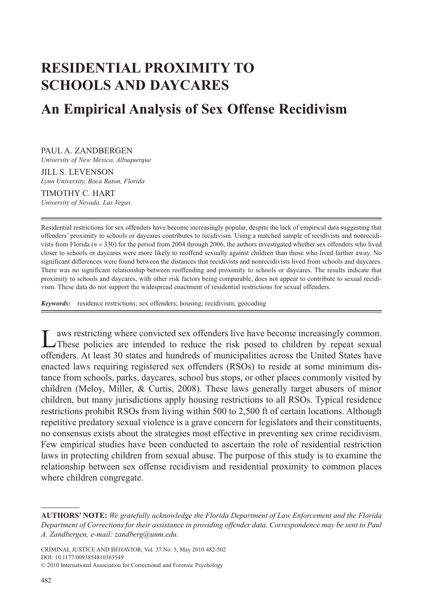# **RESIDENTIAL PROXIMITY TO SCHOOLS AND DAYCARES**

# **An Empirical Analysis of Sex Offense Recidivism**

PAUL A. ZANDBERGEN *University of New Mexico, Albuquerque*

JILL S. LEVENSON *Lynn University, Boca Raton, Florida*

TIMOTHY C. HART *University of Nevada, Las Vegas*

Residential restrictions for sex offenders have become increasingly popular, despite the lack of empirical data suggesting that offenders' proximity to schools or daycares contributes to recidivism. Using a matched sample of recidivists and nonrecidivists from Florida (*n* = 330) for the period from 2004 through 2006, the authors investigated whether sex offenders who lived closer to schools or daycares were more likely to reoffend sexually against children than those who lived farther away. No significant differences were found between the distances that recidivists and nonrecidivists lived from schools and daycares. There was no significant relationship between reoffending and proximity to schools or daycares. The results indicate that proximity to schools and daycares, with other risk factors being comparable, does not appear to contribute to sexual recidivism. These data do not support the widespread enactment of residential restrictions for sexual offenders.

*Keywords:*  residence restrictions; sex offenders; housing; recidivism; geocoding

aws restricting where convicted sex offenders live have become increasingly common. These policies are intended to reduce the risk posed to children by repeat sexual offenders. At least 30 states and hundreds of municipalities across the United States have enacted laws requiring registered sex offenders (RSOs) to reside at some minimum distance from schools, parks, daycares, school bus stops, or other places commonly visited by children (Meloy, Miller, & Curtis, 2008). These laws generally target abusers of minor children, but many jurisdictions apply housing restrictions to all RSOs. Typical residence restrictions prohibit RSOs from living within 500 to 2,500 ft of certain locations. Although repetitive predatory sexual violence is a grave concern for legislators and their constituents, no consensus exists about the strategies most effective in preventing sex crime recidivism. Few empirical studies have been conducted to ascertain the role of residential restriction laws in protecting children from sexual abuse. The purpose of this study is to examine the relationship between sex offense recidivism and residential proximity to common places where children congregate.

CRIMINAL JUSTICE AND BEHAVIOR, Vol. 37 No. 5, May 2010 482-502 DOI: DOI: 10.1177/0093854810363549 © 2010 International Association for Correctional and Forensic Psychology

**AUTHORS' NOTE:** *We gratefully acknowledge the Florida Department of Law Enforcement and the Florida Department of Corrections for their assistance in providing offender data. Correspondence may be sent to Paul A. Zandbergen, e-mail: zandberg@unm.edu.*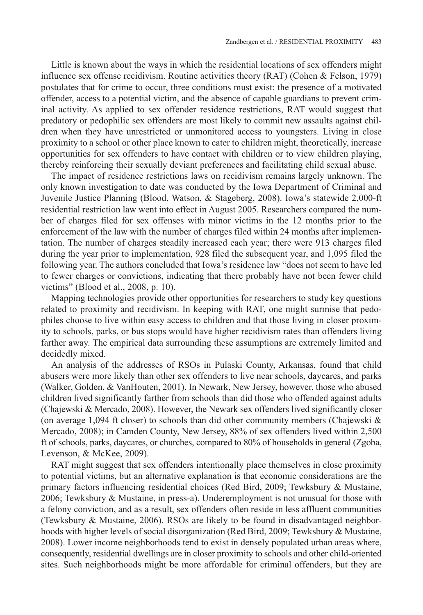Little is known about the ways in which the residential locations of sex offenders might influence sex offense recidivism. Routine activities theory (RAT) (Cohen & Felson, 1979) postulates that for crime to occur, three conditions must exist: the presence of a motivated offender, access to a potential victim, and the absence of capable guardians to prevent criminal activity. As applied to sex offender residence restrictions, RAT would suggest that predatory or pedophilic sex offenders are most likely to commit new assaults against children when they have unrestricted or unmonitored access to youngsters. Living in close proximity to a school or other place known to cater to children might, theoretically, increase opportunities for sex offenders to have contact with children or to view children playing, thereby reinforcing their sexually deviant preferences and facilitating child sexual abuse.

The impact of residence restrictions laws on recidivism remains largely unknown. The only known investigation to date was conducted by the Iowa Department of Criminal and Juvenile Justice Planning (Blood, Watson, & Stageberg, 2008). Iowa's statewide 2,000-ft residential restriction law went into effect in August 2005. Researchers compared the number of charges filed for sex offenses with minor victims in the 12 months prior to the enforcement of the law with the number of charges filed within 24 months after implementation. The number of charges steadily increased each year; there were 913 charges filed during the year prior to implementation, 928 filed the subsequent year, and 1,095 filed the following year. The authors concluded that Iowa's residence law "does not seem to have led to fewer charges or convictions, indicating that there probably have not been fewer child victims" (Blood et al., 2008, p. 10).

Mapping technologies provide other opportunities for researchers to study key questions related to proximity and recidivism. In keeping with RAT, one might surmise that pedophiles choose to live within easy access to children and that those living in closer proximity to schools, parks, or bus stops would have higher recidivism rates than offenders living farther away. The empirical data surrounding these assumptions are extremely limited and decidedly mixed.

An analysis of the addresses of RSOs in Pulaski County, Arkansas, found that child abusers were more likely than other sex offenders to live near schools, daycares, and parks (Walker, Golden, & VanHouten, 2001). In Newark, New Jersey, however, those who abused children lived significantly farther from schools than did those who offended against adults (Chajewski & Mercado, 2008). However, the Newark sex offenders lived significantly closer (on average 1,094 ft closer) to schools than did other community members (Chajewski  $\&$ Mercado, 2008); in Camden County, New Jersey, 88% of sex offenders lived within 2,500 ft of schools, parks, daycares, or churches, compared to 80% of households in general (Zgoba, Levenson, & McKee, 2009).

RAT might suggest that sex offenders intentionally place themselves in close proximity to potential victims, but an alternative explanation is that economic considerations are the primary factors influencing residential choices (Red Bird, 2009; Tewksbury & Mustaine, 2006; Tewksbury & Mustaine, in press-a). Underemployment is not unusual for those with a felony conviction, and as a result, sex offenders often reside in less affluent communities (Tewksbury & Mustaine, 2006). RSOs are likely to be found in disadvantaged neighborhoods with higher levels of social disorganization (Red Bird, 2009; Tewksbury & Mustaine, 2008). Lower income neighborhoods tend to exist in densely populated urban areas where, consequently, residential dwellings are in closer proximity to schools and other child-oriented sites. Such neighborhoods might be more affordable for criminal offenders, but they are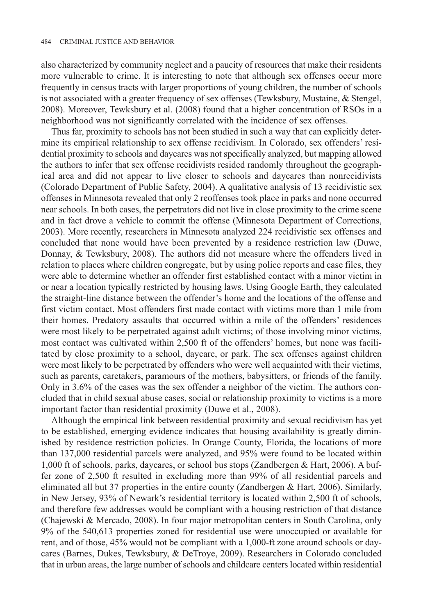also characterized by community neglect and a paucity of resources that make their residents more vulnerable to crime. It is interesting to note that although sex offenses occur more frequently in census tracts with larger proportions of young children, the number of schools is not associated with a greater frequency of sex offenses (Tewksbury, Mustaine, & Stengel, 2008). Moreover, Tewksbury et al. (2008) found that a higher concentration of RSOs in a neighborhood was not significantly correlated with the incidence of sex offenses.

Thus far, proximity to schools has not been studied in such a way that can explicitly determine its empirical relationship to sex offense recidivism. In Colorado, sex offenders' residential proximity to schools and daycares was not specifically analyzed, but mapping allowed the authors to infer that sex offense recidivists resided randomly throughout the geographical area and did not appear to live closer to schools and daycares than nonrecidivists (Colorado Department of Public Safety, 2004). A qualitative analysis of 13 recidivistic sex offenses in Minnesota revealed that only 2 reoffenses took place in parks and none occurred near schools. In both cases, the perpetrators did not live in close proximity to the crime scene and in fact drove a vehicle to commit the offense (Minnesota Department of Corrections, 2003). More recently, researchers in Minnesota analyzed 224 recidivistic sex offenses and concluded that none would have been prevented by a residence restriction law (Duwe, Donnay, & Tewksbury, 2008). The authors did not measure where the offenders lived in relation to places where children congregate, but by using police reports and case files, they were able to determine whether an offender first established contact with a minor victim in or near a location typically restricted by housing laws. Using Google Earth, they calculated the straight-line distance between the offender's home and the locations of the offense and first victim contact. Most offenders first made contact with victims more than 1 mile from their homes. Predatory assaults that occurred within a mile of the offenders' residences were most likely to be perpetrated against adult victims; of those involving minor victims, most contact was cultivated within 2,500 ft of the offenders' homes, but none was facilitated by close proximity to a school, daycare, or park. The sex offenses against children were most likely to be perpetrated by offenders who were well acquainted with their victims, such as parents, caretakers, paramours of the mothers, babysitters, or friends of the family. Only in 3.6% of the cases was the sex offender a neighbor of the victim. The authors concluded that in child sexual abuse cases, social or relationship proximity to victims is a more important factor than residential proximity (Duwe et al., 2008).

Although the empirical link between residential proximity and sexual recidivism has yet to be established, emerging evidence indicates that housing availability is greatly diminished by residence restriction policies. In Orange County, Florida, the locations of more than 137,000 residential parcels were analyzed, and 95% were found to be located within 1,000 ft of schools, parks, daycares, or school bus stops (Zandbergen & Hart, 2006). A buffer zone of 2,500 ft resulted in excluding more than 99% of all residential parcels and eliminated all but 37 properties in the entire county (Zandbergen & Hart, 2006). Similarly, in New Jersey, 93% of Newark's residential territory is located within 2,500 ft of schools, and therefore few addresses would be compliant with a housing restriction of that distance (Chajewski & Mercado, 2008). In four major metropolitan centers in South Carolina, only 9% of the 540,613 properties zoned for residential use were unoccupied or available for rent, and of those, 45% would not be compliant with a 1,000-ft zone around schools or daycares (Barnes, Dukes, Tewksbury, & DeTroye, 2009). Researchers in Colorado concluded that in urban areas, the large number of schools and childcare centers located within residential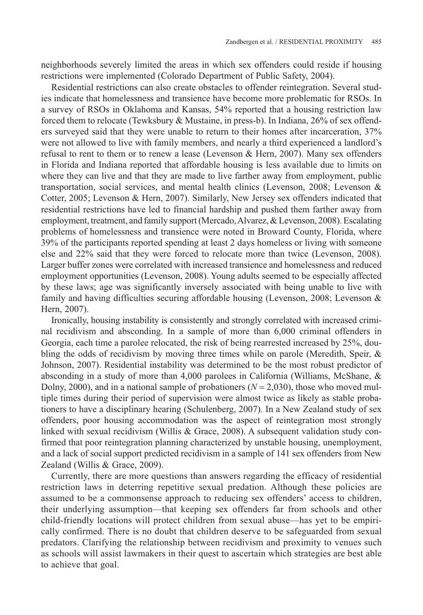neighborhoods severely limited the areas in which sex offenders could reside if housing restrictions were implemented (Colorado Department of Public Safety, 2004).

Residential restrictions can also create obstacles to offender reintegration. Several studies indicate that homelessness and transience have become more problematic for RSOs. In a survey of RSOs in Oklahoma and Kansas, 54% reported that a housing restriction law forced them to relocate (Tewksbury & Mustaine, in press-b). In Indiana, 26% of sex offenders surveyed said that they were unable to return to their homes after incarceration, 37% were not allowed to live with family members, and nearly a third experienced a landlord's refusal to rent to them or to renew a lease (Levenson  $\&$  Hern, 2007). Many sex offenders in Florida and Indiana reported that affordable housing is less available due to limits on where they can live and that they are made to live farther away from employment, public transportation, social services, and mental health clinics (Levenson, 2008; Levenson & Cotter, 2005; Levenson & Hern, 2007). Similarly, New Jersey sex offenders indicated that residential restrictions have led to financial hardship and pushed them farther away from employment, treatment, and family support (Mercado, Alvarez, & Levenson, 2008). Escalating problems of homelessness and transience were noted in Broward County, Florida, where 39% of the participants reported spending at least 2 days homeless or living with someone else and 22% said that they were forced to relocate more than twice (Levenson, 2008). Larger buffer zones were correlated with increased transience and homelessness and reduced employment opportunities (Levenson, 2008). Young adults seemed to be especially affected by these laws; age was significantly inversely associated with being unable to live with family and having difficulties securing affordable housing (Levenson, 2008; Levenson & Hern, 2007).

Ironically, housing instability is consistently and strongly correlated with increased criminal recidivism and absconding. In a sample of more than 6,000 criminal offenders in Georgia, each time a parolee relocated, the risk of being rearrested increased by 25%, doubling the odds of recidivism by moving three times while on parole (Meredith, Speir, & Johnson, 2007). Residential instability was determined to be the most robust predictor of absconding in a study of more than 4,000 parolees in California (Williams, McShane, & Dolny, 2000), and in a national sample of probationers  $(N = 2,030)$ , those who moved multiple times during their period of supervision were almost twice as likely as stable probationers to have a disciplinary hearing (Schulenberg, 2007). In a New Zealand study of sex offenders, poor housing accommodation was the aspect of reintegration most strongly linked with sexual recidivism (Willis & Grace, 2008). A subsequent validation study confirmed that poor reintegration planning characterized by unstable housing, unemployment, and a lack of social support predicted recidivism in a sample of 141 sex offenders from New Zealand (Willis & Grace, 2009).

Currently, there are more questions than answers regarding the efficacy of residential restriction laws in deterring repetitive sexual predation. Although these policies are assumed to be a commonsense approach to reducing sex offenders' access to children, their underlying assumption—that keeping sex offenders far from schools and other child-friendly locations will protect children from sexual abuse—has yet to be empirically confirmed. There is no doubt that children deserve to be safeguarded from sexual predators. Clarifying the relationship between recidivism and proximity to venues such as schools will assist lawmakers in their quest to ascertain which strategies are best able to achieve that goal.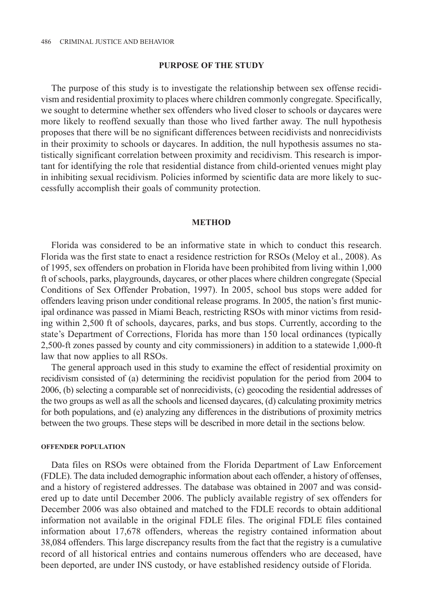## **PURPOSE OF THE STUDY**

The purpose of this study is to investigate the relationship between sex offense recidivism and residential proximity to places where children commonly congregate. Specifically, we sought to determine whether sex offenders who lived closer to schools or daycares were more likely to reoffend sexually than those who lived farther away. The null hypothesis proposes that there will be no significant differences between recidivists and nonrecidivists in their proximity to schools or daycares. In addition, the null hypothesis assumes no statistically significant correlation between proximity and recidivism. This research is important for identifying the role that residential distance from child-oriented venues might play in inhibiting sexual recidivism. Policies informed by scientific data are more likely to successfully accomplish their goals of community protection.

#### **METHOD**

Florida was considered to be an informative state in which to conduct this research. Florida was the first state to enact a residence restriction for RSOs (Meloy et al., 2008). As of 1995, sex offenders on probation in Florida have been prohibited from living within 1,000 ft of schools, parks, playgrounds, daycares, or other places where children congregate (Special Conditions of Sex Offender Probation, 1997). In 2005, school bus stops were added for offenders leaving prison under conditional release programs. In 2005, the nation's first municipal ordinance was passed in Miami Beach, restricting RSOs with minor victims from residing within 2,500 ft of schools, daycares, parks, and bus stops. Currently, according to the state's Department of Corrections, Florida has more than 150 local ordinances (typically 2,500-ft zones passed by county and city commissioners) in addition to a statewide 1,000-ft law that now applies to all RSOs.

The general approach used in this study to examine the effect of residential proximity on recidivism consisted of (a) determining the recidivist population for the period from 2004 to 2006, (b) selecting a comparable set of nonrecidivists, (c) geocoding the residential addresses of the two groups as well as all the schools and licensed daycares, (d) calculating proximity metrics for both populations, and (e) analyzing any differences in the distributions of proximity metrics between the two groups. These steps will be described in more detail in the sections below.

#### **OFFENDER POPULATION**

Data files on RSOs were obtained from the Florida Department of Law Enforcement (FDLE). The data included demographic information about each offender, a history of offenses, and a history of registered addresses. The database was obtained in 2007 and was considered up to date until December 2006. The publicly available registry of sex offenders for December 2006 was also obtained and matched to the FDLE records to obtain additional information not available in the original FDLE files. The original FDLE files contained information about 17,678 offenders, whereas the registry contained information about 38,084 offenders. This large discrepancy results from the fact that the registry is a cumulative record of all historical entries and contains numerous offenders who are deceased, have been deported, are under INS custody, or have established residency outside of Florida.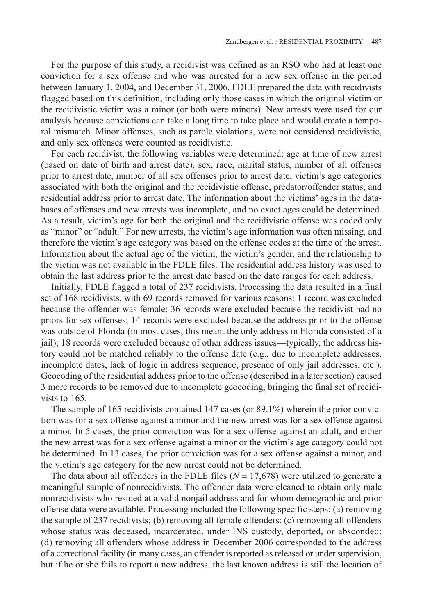For the purpose of this study, a recidivist was defined as an RSO who had at least one conviction for a sex offense and who was arrested for a new sex offense in the period between January 1, 2004, and December 31, 2006. FDLE prepared the data with recidivists flagged based on this definition, including only those cases in which the original victim or the recidivistic victim was a minor (or both were minors). New arrests were used for our analysis because convictions can take a long time to take place and would create a temporal mismatch. Minor offenses, such as parole violations, were not considered recidivistic, and only sex offenses were counted as recidivistic.

For each recidivist, the following variables were determined: age at time of new arrest (based on date of birth and arrest date), sex, race, marital status, number of all offenses prior to arrest date, number of all sex offenses prior to arrest date, victim's age categories associated with both the original and the recidivistic offense, predator/offender status, and residential address prior to arrest date. The information about the victims' ages in the databases of offenses and new arrests was incomplete, and no exact ages could be determined. As a result, victim's age for both the original and the recidivistic offense was coded only as "minor" or "adult." For new arrests, the victim's age information was often missing, and therefore the victim's age category was based on the offense codes at the time of the arrest. Information about the actual age of the victim, the victim's gender, and the relationship to the victim was not available in the FDLE files. The residential address history was used to obtain the last address prior to the arrest date based on the date ranges for each address.

Initially, FDLE flagged a total of 237 recidivists. Processing the data resulted in a final set of 168 recidivists, with 69 records removed for various reasons: 1 record was excluded because the offender was female; 36 records were excluded because the recidivist had no priors for sex offenses; 14 records were excluded because the address prior to the offense was outside of Florida (in most cases, this meant the only address in Florida consisted of a jail); 18 records were excluded because of other address issues—typically, the address history could not be matched reliably to the offense date (e.g., due to incomplete addresses, incomplete dates, lack of logic in address sequence, presence of only jail addresses, etc.). Geocoding of the residential address prior to the offense (described in a later section) caused 3 more records to be removed due to incomplete geocoding, bringing the final set of recidivists to 165.

The sample of 165 recidivists contained 147 cases (or 89.1%) wherein the prior conviction was for a sex offense against a minor and the new arrest was for a sex offense against a minor. In 5 cases, the prior conviction was for a sex offense against an adult, and either the new arrest was for a sex offense against a minor or the victim's age category could not be determined. In 13 cases, the prior conviction was for a sex offense against a minor, and the victim's age category for the new arrest could not be determined.

The data about all offenders in the FDLE files  $(N = 17,678)$  were utilized to generate a meaningful sample of nonrecidivists. The offender data were cleaned to obtain only male nonrecidivists who resided at a valid nonjail address and for whom demographic and prior offense data were available. Processing included the following specific steps: (a) removing the sample of 237 recidivists; (b) removing all female offenders; (c) removing all offenders whose status was deceased, incarcerated, under INS custody, deported, or absconded; (d) removing all offenders whose address in December 2006 corresponded to the address of a correctional facility (in many cases, an offender is reported as released or under supervision, but if he or she fails to report a new address, the last known address is still the location of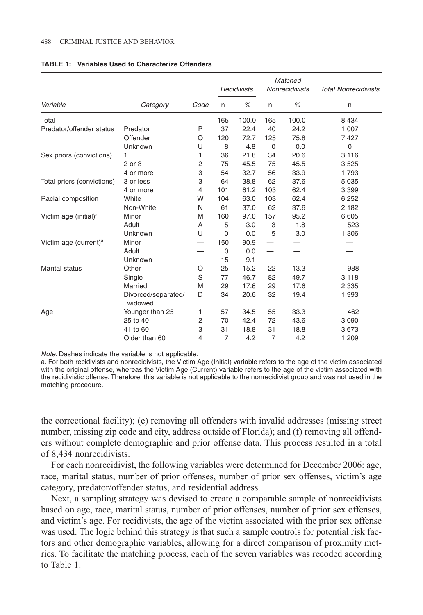|                                   |                                |                |                | <b>Recidivists</b> |                          | Matched<br><b>Nonrecidivists</b> | <b>Total Nonrecidivists</b> |
|-----------------------------------|--------------------------------|----------------|----------------|--------------------|--------------------------|----------------------------------|-----------------------------|
| Variable                          | Category                       | Code           | n              | $\%$               | n                        | $\%$                             | n                           |
| Total                             |                                |                | 165            | 100.0              | 165                      | 100.0                            | 8,434                       |
| Predator/offender status          | Predator                       | P              | 37             | 22.4               | 40                       | 24.2                             | 1,007                       |
|                                   | Offender                       | O              | 120            | 72.7               | 125                      | 75.8                             | 7,427                       |
|                                   | Unknown                        | U              | 8              | 4.8                | $\mathbf 0$              | 0.0                              | $\mathbf 0$                 |
| Sex priors (convictions)          | 1                              | 1              | 36             | 21.8               | 34                       | 20.6                             | 3,116                       |
|                                   | 2 or 3                         | $\overline{2}$ | 75             | 45.5               | 75                       | 45.5                             | 3,525                       |
|                                   | 4 or more                      | 3              | 54             | 32.7               | 56                       | 33.9                             | 1,793                       |
| Total priors (convictions)        | 3 or less                      | 3              | 64             | 38.8               | 62                       | 37.6                             | 5,035                       |
|                                   | 4 or more                      | $\overline{4}$ | 101            | 61.2               | 103                      | 62.4                             | 3,399                       |
| Racial composition                | White                          | W              | 104            | 63.0               | 103                      | 62.4                             | 6,252                       |
|                                   | Non-White                      | N              | 61             | 37.0               | 62                       | 37.6                             | 2,182                       |
| Victim age (initial) <sup>a</sup> | Minor                          | M              | 160            | 97.0               | 157                      | 95.2                             | 6,605                       |
|                                   | Adult                          | A              | 5              | 3.0                | 3                        | 1.8                              | 523                         |
|                                   | Unknown                        | U              | $\mathbf 0$    | 0.0                | 5                        | 3.0                              | 1,306                       |
| Victim age (current) <sup>a</sup> | Minor                          |                | 150            | 90.9               |                          |                                  |                             |
|                                   | Adult                          |                | $\mathbf 0$    | 0.0                | $\overline{\phantom{0}}$ |                                  |                             |
|                                   | Unknown                        |                | 15             | 9.1                | —                        |                                  |                             |
| Marital status                    | Other                          | O              | 25             | 15.2               | 22                       | 13.3                             | 988                         |
|                                   | Single                         | S              | 77             | 46.7               | 82                       | 49.7                             | 3,118                       |
|                                   | Married                        | M              | 29             | 17.6               | 29                       | 17.6                             | 2,335                       |
|                                   | Divorced/separated/<br>widowed | D              | 34             | 20.6               | 32                       | 19.4                             | 1,993                       |
| Age                               | Younger than 25                | 1              | 57             | 34.5               | 55                       | 33.3                             | 462                         |
|                                   | 25 to 40                       | 2              | 70             | 42.4               | 72                       | 43.6                             | 3,090                       |
|                                   | 41 to 60                       | 3              | 31             | 18.8               | 31                       | 18.8                             | 3,673                       |
|                                   | Older than 60                  | 4              | $\overline{7}$ | 4.2                | $\overline{7}$           | 4.2                              | 1,209                       |

#### **TABLE 1: Variables Used to Characterize Offenders**

*Note.* Dashes indicate the variable is not applicable.

a. For both recidivists and nonrecidivists, the Victim Age (Initial) variable refers to the age of the victim associated with the original offense, whereas the Victim Age (Current) variable refers to the age of the victim associated with the recidivistic offense. Therefore, this variable is not applicable to the nonrecidivist group and was not used in the matching procedure.

the correctional facility); (e) removing all offenders with invalid addresses (missing street number, missing zip code and city, address outside of Florida); and (f) removing all offenders without complete demographic and prior offense data. This process resulted in a total of 8,434 nonrecidivists.

For each nonrecidivist, the following variables were determined for December 2006: age, race, marital status, number of prior offenses, number of prior sex offenses, victim's age category, predator/offender status, and residential address.

Next, a sampling strategy was devised to create a comparable sample of nonrecidivists based on age, race, marital status, number of prior offenses, number of prior sex offenses, and victim's age. For recidivists, the age of the victim associated with the prior sex offense was used. The logic behind this strategy is that such a sample controls for potential risk factors and other demographic variables, allowing for a direct comparison of proximity metrics. To facilitate the matching process, each of the seven variables was recoded according to Table 1.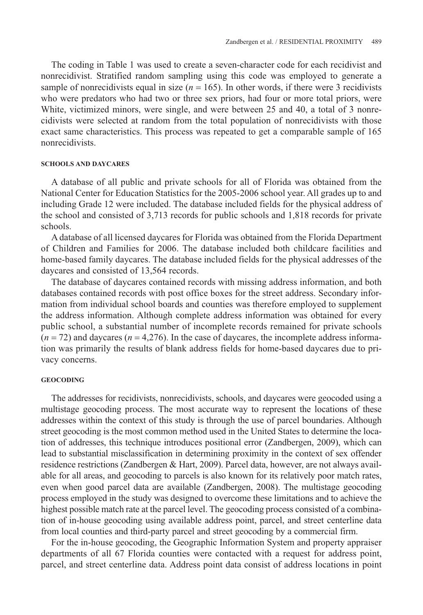The coding in Table 1 was used to create a seven-character code for each recidivist and nonrecidivist. Stratified random sampling using this code was employed to generate a sample of nonrecidivists equal in size  $(n = 165)$ . In other words, if there were 3 recidivists who were predators who had two or three sex priors, had four or more total priors, were White, victimized minors, were single, and were between 25 and 40, a total of 3 nonrecidivists were selected at random from the total population of nonrecidivists with those exact same characteristics. This process was repeated to get a comparable sample of 165 nonrecidivists.

## **SCHOOLS AND DAYCARES**

A database of all public and private schools for all of Florida was obtained from the National Center for Education Statistics for the 2005-2006 school year. All grades up to and including Grade 12 were included. The database included fields for the physical address of the school and consisted of 3,713 records for public schools and 1,818 records for private schools.

A database of all licensed daycares for Florida was obtained from the Florida Department of Children and Families for 2006. The database included both childcare facilities and home-based family daycares. The database included fields for the physical addresses of the daycares and consisted of 13,564 records.

The database of daycares contained records with missing address information, and both databases contained records with post office boxes for the street address. Secondary information from individual school boards and counties was therefore employed to supplement the address information. Although complete address information was obtained for every public school, a substantial number of incomplete records remained for private schools  $(n = 72)$  and daycares  $(n = 4,276)$ . In the case of daycares, the incomplete address information was primarily the results of blank address fields for home-based daycares due to privacy concerns.

## **GEOCODING**

The addresses for recidivists, nonrecidivists, schools, and daycares were geocoded using a multistage geocoding process. The most accurate way to represent the locations of these addresses within the context of this study is through the use of parcel boundaries. Although street geocoding is the most common method used in the United States to determine the location of addresses, this technique introduces positional error (Zandbergen, 2009), which can lead to substantial misclassification in determining proximity in the context of sex offender residence restrictions (Zandbergen & Hart, 2009). Parcel data, however, are not always available for all areas, and geocoding to parcels is also known for its relatively poor match rates, even when good parcel data are available (Zandbergen, 2008). The multistage geocoding process employed in the study was designed to overcome these limitations and to achieve the highest possible match rate at the parcel level. The geocoding process consisted of a combination of in-house geocoding using available address point, parcel, and street centerline data from local counties and third-party parcel and street geocoding by a commercial firm.

For the in-house geocoding, the Geographic Information System and property appraiser departments of all 67 Florida counties were contacted with a request for address point, parcel, and street centerline data. Address point data consist of address locations in point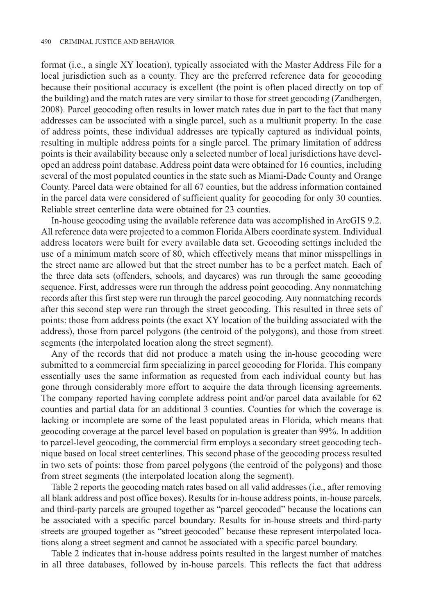format (i.e., a single XY location), typically associated with the Master Address File for a local jurisdiction such as a county. They are the preferred reference data for geocoding because their positional accuracy is excellent (the point is often placed directly on top of the building) and the match rates are very similar to those for street geocoding (Zandbergen, 2008). Parcel geocoding often results in lower match rates due in part to the fact that many addresses can be associated with a single parcel, such as a multiunit property. In the case of address points, these individual addresses are typically captured as individual points, resulting in multiple address points for a single parcel. The primary limitation of address points is their availability because only a selected number of local jurisdictions have developed an address point database. Address point data were obtained for 16 counties, including several of the most populated counties in the state such as Miami-Dade County and Orange County. Parcel data were obtained for all 67 counties, but the address information contained in the parcel data were considered of sufficient quality for geocoding for only 30 counties. Reliable street centerline data were obtained for 23 counties.

In-house geocoding using the available reference data was accomplished in ArcGIS 9.2. All reference data were projected to a common Florida Albers coordinate system. Individual address locators were built for every available data set. Geocoding settings included the use of a minimum match score of 80, which effectively means that minor misspellings in the street name are allowed but that the street number has to be a perfect match. Each of the three data sets (offenders, schools, and daycares) was run through the same geocoding sequence. First, addresses were run through the address point geocoding. Any nonmatching records after this first step were run through the parcel geocoding. Any nonmatching records after this second step were run through the street geocoding. This resulted in three sets of points: those from address points (the exact XY location of the building associated with the address), those from parcel polygons (the centroid of the polygons), and those from street segments (the interpolated location along the street segment).

Any of the records that did not produce a match using the in-house geocoding were submitted to a commercial firm specializing in parcel geocoding for Florida. This company essentially uses the same information as requested from each individual county but has gone through considerably more effort to acquire the data through licensing agreements. The company reported having complete address point and/or parcel data available for 62 counties and partial data for an additional 3 counties. Counties for which the coverage is lacking or incomplete are some of the least populated areas in Florida, which means that geocoding coverage at the parcel level based on population is greater than 99%. In addition to parcel-level geocoding, the commercial firm employs a secondary street geocoding technique based on local street centerlines. This second phase of the geocoding process resulted in two sets of points: those from parcel polygons (the centroid of the polygons) and those from street segments (the interpolated location along the segment).

Table 2 reports the geocoding match rates based on all valid addresses (i.e., after removing all blank address and post office boxes). Results for in-house address points, in-house parcels, and third-party parcels are grouped together as "parcel geocoded" because the locations can be associated with a specific parcel boundary. Results for in-house streets and third-party streets are grouped together as "street geocoded" because these represent interpolated locations along a street segment and cannot be associated with a specific parcel boundary.

Table 2 indicates that in-house address points resulted in the largest number of matches in all three databases, followed by in-house parcels. This reflects the fact that address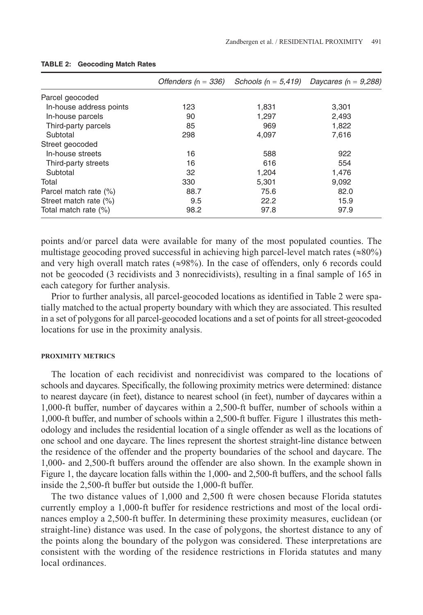|                         | Offenders ( $n = 336$ ) |       | Schools $(n = 5.419)$ Daycares $(n = 9.288)$ |
|-------------------------|-------------------------|-------|----------------------------------------------|
| Parcel geocoded         |                         |       |                                              |
| In-house address points | 123                     | 1,831 | 3,301                                        |
| In-house parcels        | 90                      | 1,297 | 2,493                                        |
| Third-party parcels     | 85                      | 969   | 1,822                                        |
| Subtotal                | 298                     | 4,097 | 7,616                                        |
| Street geocoded         |                         |       |                                              |
| In-house streets        | 16                      | 588   | 922                                          |
| Third-party streets     | 16                      | 616   | 554                                          |
| Subtotal                | 32                      | 1,204 | 1,476                                        |
| Total                   | 330                     | 5.301 | 9,092                                        |
| Parcel match rate (%)   | 88.7                    | 75.6  | 82.0                                         |
| Street match rate (%)   | 9.5                     | 22.2  | 15.9                                         |
| Total match rate (%)    | 98.2                    | 97.8  | 97.9                                         |

#### **TABLE 2: Geocoding Match Rates**

points and/or parcel data were available for many of the most populated counties. The multistage geocoding proved successful in achieving high parcel-level match rates ( $\approx 80\%$ ) and very high overall match rates ( $\approx 98\%$ ). In the case of offenders, only 6 records could not be geocoded (3 recidivists and 3 nonrecidivists), resulting in a final sample of 165 in each category for further analysis.

Prior to further analysis, all parcel-geocoded locations as identified in Table 2 were spatially matched to the actual property boundary with which they are associated. This resulted in a set of polygons for all parcel-geocoded locations and a set of points for all street-geocoded locations for use in the proximity analysis.

## **PROXIMITY METRICS**

The location of each recidivist and nonrecidivist was compared to the locations of schools and daycares. Specifically, the following proximity metrics were determined: distance to nearest daycare (in feet), distance to nearest school (in feet), number of daycares within a 1,000-ft buffer, number of daycares within a 2,500-ft buffer, number of schools within a 1,000-ft buffer, and number of schools within a 2,500-ft buffer. Figure 1 illustrates this methodology and includes the residential location of a single offender as well as the locations of one school and one daycare. The lines represent the shortest straight-line distance between the residence of the offender and the property boundaries of the school and daycare. The 1,000- and 2,500-ft buffers around the offender are also shown. In the example shown in Figure 1, the daycare location falls within the 1,000- and 2,500-ft buffers, and the school falls inside the 2,500-ft buffer but outside the 1,000-ft buffer.

The two distance values of 1,000 and 2,500 ft were chosen because Florida statutes currently employ a 1,000-ft buffer for residence restrictions and most of the local ordinances employ a 2,500-ft buffer. In determining these proximity measures, euclidean (or straight-line) distance was used. In the case of polygons, the shortest distance to any of the points along the boundary of the polygon was considered. These interpretations are consistent with the wording of the residence restrictions in Florida statutes and many local ordinances.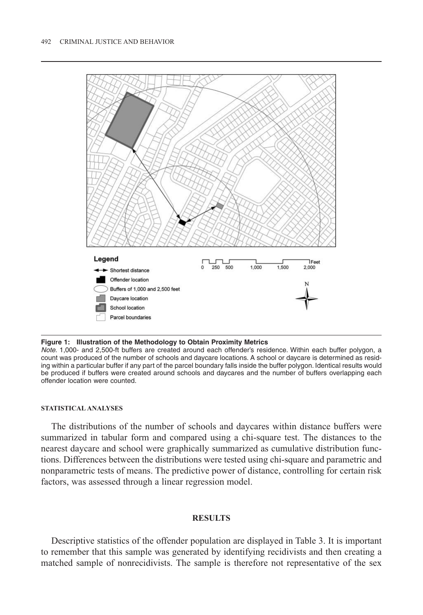

**Figure 1: Illustration of the Methodology to Obtain Proximity Metrics**

*Note.* 1,000- and 2,500-ft buffers are created around each offender's residence. Within each buffer polygon, a count was produced of the number of schools and daycare locations. A school or daycare is determined as residing within a particular buffer if any part of the parcel boundary falls inside the buffer polygon. Identical results would be produced if buffers were created around schools and daycares and the number of buffers overlapping each offender location were counted.

## **STATISTICAL ANALYSES**

The distributions of the number of schools and daycares within distance buffers were summarized in tabular form and compared using a chi-square test. The distances to the nearest daycare and school were graphically summarized as cumulative distribution functions. Differences between the distributions were tested using chi-square and parametric and nonparametric tests of means. The predictive power of distance, controlling for certain risk factors, was assessed through a linear regression model.

## **RESULTS**

Descriptive statistics of the offender population are displayed in Table 3. It is important to remember that this sample was generated by identifying recidivists and then creating a matched sample of nonrecidivists. The sample is therefore not representative of the sex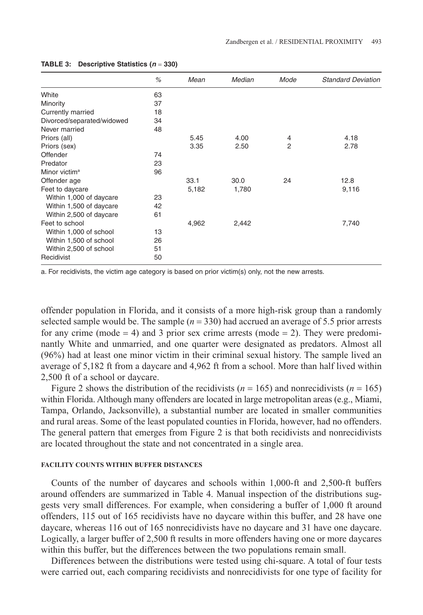|                            | %  | Mean  | Median | Mode | <b>Standard Deviation</b> |
|----------------------------|----|-------|--------|------|---------------------------|
| White                      | 63 |       |        |      |                           |
| Minority                   | 37 |       |        |      |                           |
| Currently married          | 18 |       |        |      |                           |
| Divorced/separated/widowed | 34 |       |        |      |                           |
| Never married              | 48 |       |        |      |                           |
| Priors (all)               |    | 5.45  | 4.00   | 4    | 4.18                      |
| Priors (sex)               |    | 3.35  | 2.50   | 2    | 2.78                      |
| Offender                   | 74 |       |        |      |                           |
| Predator                   | 23 |       |        |      |                           |
| Minor victim <sup>a</sup>  | 96 |       |        |      |                           |
| Offender age               |    | 33.1  | 30.0   | 24   | 12.8                      |
| Feet to daycare            |    | 5,182 | 1,780  |      | 9,116                     |
| Within 1,000 of daycare    | 23 |       |        |      |                           |
| Within 1,500 of daycare    | 42 |       |        |      |                           |
| Within 2,500 of daycare    | 61 |       |        |      |                           |
| Feet to school             |    | 4,962 | 2,442  |      | 7,740                     |
| Within 1,000 of school     | 13 |       |        |      |                           |
| Within 1,500 of school     | 26 |       |        |      |                           |
| Within 2,500 of school     | 51 |       |        |      |                           |
| Recidivist                 | 50 |       |        |      |                           |

## **TABLE 3: Descriptive Statistics (***n* = **330)**

a. For recidivists, the victim age category is based on prior victim(s) only, not the new arrests.

offender population in Florida, and it consists of a more high-risk group than a randomly selected sample would be. The sample  $(n = 330)$  had accrued an average of 5.5 prior arrests for any crime (mode  $= 4$ ) and 3 prior sex crime arrests (mode  $= 2$ ). They were predominantly White and unmarried, and one quarter were designated as predators. Almost all (96%) had at least one minor victim in their criminal sexual history. The sample lived an average of 5,182 ft from a daycare and 4,962 ft from a school. More than half lived within 2,500 ft of a school or daycare.

Figure 2 shows the distribution of the recidivists ( $n = 165$ ) and nonrecidivists ( $n = 165$ ) within Florida. Although many offenders are located in large metropolitan areas (e.g., Miami, Tampa, Orlando, Jacksonville), a substantial number are located in smaller communities and rural areas. Some of the least populated counties in Florida, however, had no offenders. The general pattern that emerges from Figure 2 is that both recidivists and nonrecidivists are located throughout the state and not concentrated in a single area.

#### **FACILITY COUNTS WITHIN BUFFER DISTANCES**

Counts of the number of daycares and schools within 1,000-ft and 2,500-ft buffers around offenders are summarized in Table 4. Manual inspection of the distributions suggests very small differences. For example, when considering a buffer of 1,000 ft around offenders, 115 out of 165 recidivists have no daycare within this buffer, and 28 have one daycare, whereas 116 out of 165 nonrecidivists have no daycare and 31 have one daycare. Logically, a larger buffer of 2,500 ft results in more offenders having one or more daycares within this buffer, but the differences between the two populations remain small.

Differences between the distributions were tested using chi-square. A total of four tests were carried out, each comparing recidivists and nonrecidivists for one type of facility for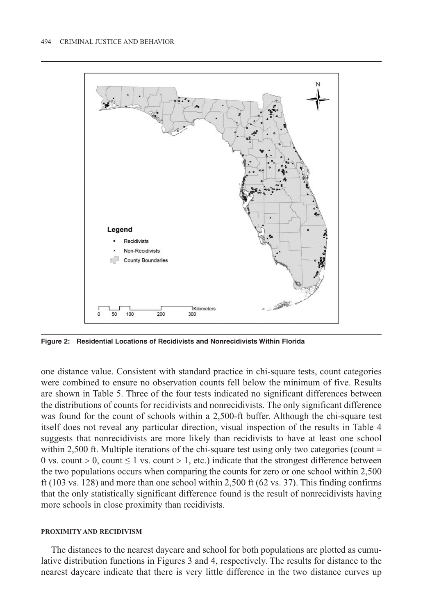

**Figure 2: Residential Locations of Recidivists and Nonrecidivists Within Florida**

one distance value. Consistent with standard practice in chi-square tests, count categories were combined to ensure no observation counts fell below the minimum of five. Results are shown in Table 5. Three of the four tests indicated no significant differences between the distributions of counts for recidivists and nonrecidivists. The only significant difference was found for the count of schools within a 2,500-ft buffer. Although the chi-square test itself does not reveal any particular direction, visual inspection of the results in Table 4 suggests that nonrecidivists are more likely than recidivists to have at least one school within 2,500 ft. Multiple iterations of the chi-square test using only two categories (count  $=$ 0 vs. count > 0, count  $\leq 1$  vs. count > 1, etc.) indicate that the strongest difference between the two populations occurs when comparing the counts for zero or one school within 2,500 ft  $(103 \text{ vs. } 128)$  and more than one school within 2,500 ft  $(62 \text{ vs. } 37)$ . This finding confirms that the only statistically significant difference found is the result of nonrecidivists having more schools in close proximity than recidivists.

#### **PROXIMITY AND RECIDIVISM**

The distances to the nearest daycare and school for both populations are plotted as cumulative distribution functions in Figures 3 and 4, respectively. The results for distance to the nearest daycare indicate that there is very little difference in the two distance curves up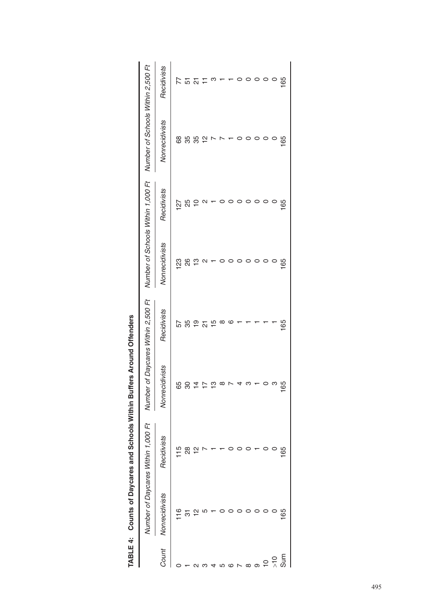|                | Number of Daycares Within 1 | 000 Ft      |                |             |                |             | Number of Daycares Within 2,500 Ft Number of Schools Within 1,000 Ft Number of Schools Within 2,500 Ft |             |
|----------------|-----------------------------|-------------|----------------|-------------|----------------|-------------|--------------------------------------------------------------------------------------------------------|-------------|
| Count          | Nonrecidivists              | Recidivists | Nonrecidivists | Recidivists | Nonrecidivists | Recidivists | Nonrecidivists                                                                                         | Recidivists |
|                | 116                         | 115         | 89             | 57          | 123            | 127         | 68                                                                                                     |             |
|                |                             |             | ౚ              | 35          | 88             | 25          | 35                                                                                                     | 51          |
|                |                             |             | $\overline{4}$ | ၣ           | ဣ              |             | 35                                                                                                     | ភ           |
|                |                             |             |                | ᠷ<br>Ù      |                |             | 으                                                                                                      |             |
|                |                             |             |                | 15          |                |             |                                                                                                        |             |
|                |                             |             |                |             |                |             |                                                                                                        |             |
| ဖ              |                             |             |                |             |                |             |                                                                                                        |             |
|                |                             |             |                |             |                |             |                                                                                                        |             |
| $\infty$       |                             |             |                |             |                |             |                                                                                                        |             |
| တ              |                             |             |                |             |                |             |                                                                                                        |             |
| $\overline{C}$ |                             |             |                |             |                |             |                                                                                                        |             |
| $\frac{1}{2}$  |                             |             |                |             |                |             |                                                                                                        |             |
| Sum            | 165                         | 165         | 165            | 165         | 165            | 165         | 165                                                                                                    | 165         |

| Within Buffare Amund Offand    |
|--------------------------------|
|                                |
|                                |
|                                |
|                                |
| Counts of Daycares and Schools |
|                                |
|                                |
| TABLE 4: L                     |

J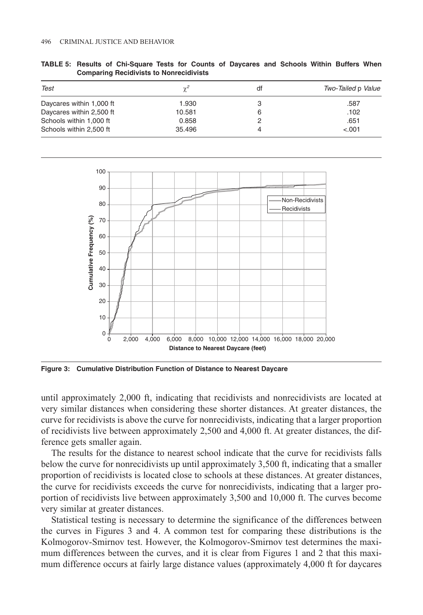| Test                     | $\gamma^2$ | df | Two-Tailed p Value |
|--------------------------|------------|----|--------------------|
| Daycares within 1,000 ft | 1.930      |    | .587               |
| Daycares within 2,500 ft | 10.581     | 6  | .102               |
| Schools within 1,000 ft  | 0.858      |    | .651               |
| Schools within 2,500 ft  | 35.496     |    | < .001             |

**TABLE 5: Results of Chi-Square Tests for Counts of Daycares and Schools Within Buffers When Comparing Recidivists to Nonrecidivists**



**Figure 3: Cumulative Distribution Function of Distance to Nearest Daycare**

until approximately 2,000 ft, indicating that recidivists and nonrecidivists are located at very similar distances when considering these shorter distances. At greater distances, the curve for recidivists is above the curve for nonrecidivists, indicating that a larger proportion of recidivists live between approximately 2,500 and 4,000 ft. At greater distances, the difference gets smaller again.

The results for the distance to nearest school indicate that the curve for recidivists falls below the curve for nonrecidivists up until approximately 3,500 ft, indicating that a smaller proportion of recidivists is located close to schools at these distances. At greater distances, the curve for recidivists exceeds the curve for nonrecidivists, indicating that a larger proportion of recidivists live between approximately 3,500 and 10,000 ft. The curves become very similar at greater distances.

Statistical testing is necessary to determine the significance of the differences between the curves in Figures 3 and 4. A common test for comparing these distributions is the Kolmogorov-Smirnov test. However, the Kolmogorov-Smirnov test determines the maximum differences between the curves, and it is clear from Figures 1 and 2 that this maximum difference occurs at fairly large distance values (approximately 4,000 ft for daycares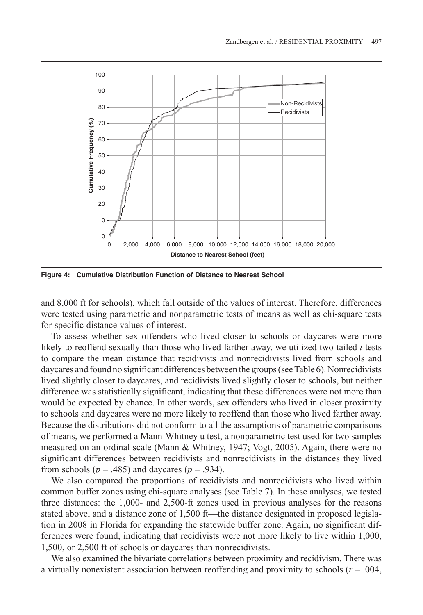

**Figure 4: Cumulative Distribution Function of Distance to Nearest School**

and 8,000 ft for schools), which fall outside of the values of interest. Therefore, differences were tested using parametric and nonparametric tests of means as well as chi-square tests for specific distance values of interest.

To assess whether sex offenders who lived closer to schools or daycares were more likely to reoffend sexually than those who lived farther away, we utilized two-tailed *t* tests to compare the mean distance that recidivists and nonrecidivists lived from schools and daycares and found no significant differences between the groups (see Table 6). Nonrecidivists lived slightly closer to daycares, and recidivists lived slightly closer to schools, but neither difference was statistically significant, indicating that these differences were not more than would be expected by chance. In other words, sex offenders who lived in closer proximity to schools and daycares were no more likely to reoffend than those who lived farther away. Because the distributions did not conform to all the assumptions of parametric comparisons of means, we performed a Mann-Whitney u test, a nonparametric test used for two samples measured on an ordinal scale (Mann & Whitney, 1947; Vogt, 2005). Again, there were no significant differences between recidivists and nonrecidivists in the distances they lived from schools ( $p = .485$ ) and daycares ( $p = .934$ ).

We also compared the proportions of recidivists and nonrecidivists who lived within common buffer zones using chi-square analyses (see Table 7). In these analyses, we tested three distances: the 1,000- and 2,500-ft zones used in previous analyses for the reasons stated above, and a distance zone of 1,500 ft—the distance designated in proposed legislation in 2008 in Florida for expanding the statewide buffer zone. Again, no significant differences were found, indicating that recidivists were not more likely to live within 1,000, 1,500, or 2,500 ft of schools or daycares than nonrecidivists.

We also examined the bivariate correlations between proximity and recidivism. There was a virtually nonexistent association between reoffending and proximity to schools (*r* = .004,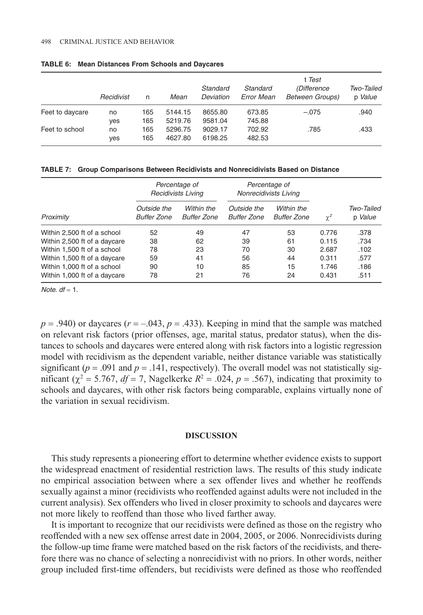|                 | Recidivist | n   | Mean    | Standard<br>Deviation | Standard<br><b>Error Mean</b> | t Test<br>(Difference<br><b>Between Groups)</b> | Two-Tailed<br>p Value |
|-----------------|------------|-----|---------|-----------------------|-------------------------------|-------------------------------------------------|-----------------------|
| Feet to daycare | no         | 165 | 5144.15 | 8655.80               | 673.85                        | $-.075$                                         | .940                  |
|                 | ves        | 165 | 5219.76 | 9581.04               | 745.88                        |                                                 |                       |
| Feet to school  | no         | 165 | 5296.75 | 9029.17               | 702.92                        | .785                                            | .433                  |
|                 | ves        | 165 | 4627.80 | 6198.25               | 482.53                        |                                                 |                       |

**TABLE 6: Mean Distances From Schools and Daycares**

|  |  |  |  |  |  | TABLE 7: Group Comparisons Between Recidivists and Nonrecidivists Based on Distance |  |  |  |
|--|--|--|--|--|--|-------------------------------------------------------------------------------------|--|--|--|
|--|--|--|--|--|--|-------------------------------------------------------------------------------------|--|--|--|

|                              |                                   | Percentage of<br><b>Recidivists Living</b> |                                   | Percentage of<br>Nonrecidivists Living |          |                       |  |
|------------------------------|-----------------------------------|--------------------------------------------|-----------------------------------|----------------------------------------|----------|-----------------------|--|
| Proximity                    | Outside the<br><b>Buffer Zone</b> | Within the<br><b>Buffer Zone</b>           | Outside the<br><b>Buffer Zone</b> | Within the<br><b>Buffer Zone</b>       | $\chi^2$ | Two-Tailed<br>p Value |  |
| Within 2,500 ft of a school  | 52                                | 49                                         | 47                                | 53                                     | 0.776    | .378                  |  |
| Within 2,500 ft of a daycare | 38                                | 62                                         | 39                                | 61                                     | 0.115    | .734                  |  |
| Within 1,500 ft of a school  | 78                                | 23                                         | 70                                | 30                                     | 2.687    | .102                  |  |
| Within 1,500 ft of a daycare | 59                                | 41                                         | 56                                | 44                                     | 0.311    | .577                  |  |
| Within 1,000 ft of a school  | 90                                | 10                                         | 85                                | 15                                     | 1.746    | .186                  |  |
| Within 1,000 ft of a daycare | 78                                | 21                                         | 76                                | 24                                     | 0.431    | .511                  |  |

*Note. df* = 1.

 $p = .940$ ) or daycares ( $r = -.043$ ,  $p = .433$ ). Keeping in mind that the sample was matched on relevant risk factors (prior offenses, age, marital status, predator status), when the distances to schools and daycares were entered along with risk factors into a logistic regression model with recidivism as the dependent variable, neither distance variable was statistically significant ( $p = .091$  and  $p = .141$ , respectively). The overall model was not statistically significant ( $\chi^2$  = 5.767, *df* = 7, Nagelkerke *R*<sup>2</sup> = .024, *p* = .567), indicating that proximity to schools and daycares, with other risk factors being comparable, explains virtually none of the variation in sexual recidivism.

## **DISCUSSION**

This study represents a pioneering effort to determine whether evidence exists to support the widespread enactment of residential restriction laws. The results of this study indicate no empirical association between where a sex offender lives and whether he reoffends sexually against a minor (recidivists who reoffended against adults were not included in the current analysis). Sex offenders who lived in closer proximity to schools and daycares were not more likely to reoffend than those who lived farther away.

It is important to recognize that our recidivists were defined as those on the registry who reoffended with a new sex offense arrest date in 2004, 2005, or 2006. Nonrecidivists during the follow-up time frame were matched based on the risk factors of the recidivists, and therefore there was no chance of selecting a nonrecidivist with no priors. In other words, neither group included first-time offenders, but recidivists were defined as those who reoffended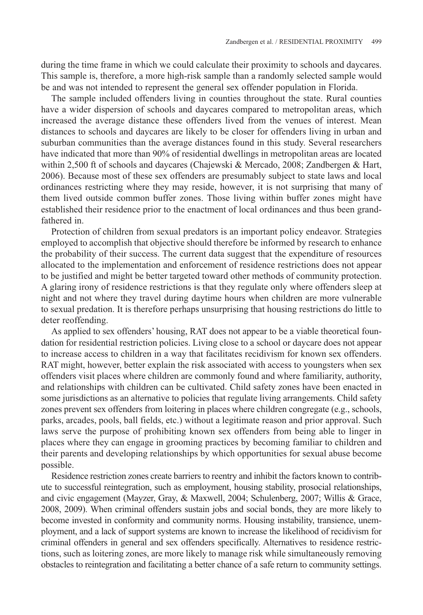during the time frame in which we could calculate their proximity to schools and daycares. This sample is, therefore, a more high-risk sample than a randomly selected sample would be and was not intended to represent the general sex offender population in Florida.

The sample included offenders living in counties throughout the state. Rural counties have a wider dispersion of schools and daycares compared to metropolitan areas, which increased the average distance these offenders lived from the venues of interest. Mean distances to schools and daycares are likely to be closer for offenders living in urban and suburban communities than the average distances found in this study. Several researchers have indicated that more than 90% of residential dwellings in metropolitan areas are located within 2,500 ft of schools and daycares (Chajewski & Mercado, 2008; Zandbergen & Hart, 2006). Because most of these sex offenders are presumably subject to state laws and local ordinances restricting where they may reside, however, it is not surprising that many of them lived outside common buffer zones. Those living within buffer zones might have established their residence prior to the enactment of local ordinances and thus been grandfathered in.

Protection of children from sexual predators is an important policy endeavor. Strategies employed to accomplish that objective should therefore be informed by research to enhance the probability of their success. The current data suggest that the expenditure of resources allocated to the implementation and enforcement of residence restrictions does not appear to be justified and might be better targeted toward other methods of community protection. A glaring irony of residence restrictions is that they regulate only where offenders sleep at night and not where they travel during daytime hours when children are more vulnerable to sexual predation. It is therefore perhaps unsurprising that housing restrictions do little to deter reoffending.

As applied to sex offenders' housing, RAT does not appear to be a viable theoretical foundation for residential restriction policies. Living close to a school or daycare does not appear to increase access to children in a way that facilitates recidivism for known sex offenders. RAT might, however, better explain the risk associated with access to youngsters when sex offenders visit places where children are commonly found and where familiarity, authority, and relationships with children can be cultivated. Child safety zones have been enacted in some jurisdictions as an alternative to policies that regulate living arrangements. Child safety zones prevent sex offenders from loitering in places where children congregate (e.g., schools, parks, arcades, pools, ball fields, etc.) without a legitimate reason and prior approval. Such laws serve the purpose of prohibiting known sex offenders from being able to linger in places where they can engage in grooming practices by becoming familiar to children and their parents and developing relationships by which opportunities for sexual abuse become possible.

Residence restriction zones create barriers to reentry and inhibit the factors known to contribute to successful reintegration, such as employment, housing stability, prosocial relationships, and civic engagement (Mayzer, Gray, & Maxwell, 2004; Schulenberg, 2007; Willis & Grace, 2008, 2009). When criminal offenders sustain jobs and social bonds, they are more likely to become invested in conformity and community norms. Housing instability, transience, unemployment, and a lack of support systems are known to increase the likelihood of recidivism for criminal offenders in general and sex offenders specifically. Alternatives to residence restrictions, such as loitering zones, are more likely to manage risk while simultaneously removing obstacles to reintegration and facilitating a better chance of a safe return to community settings.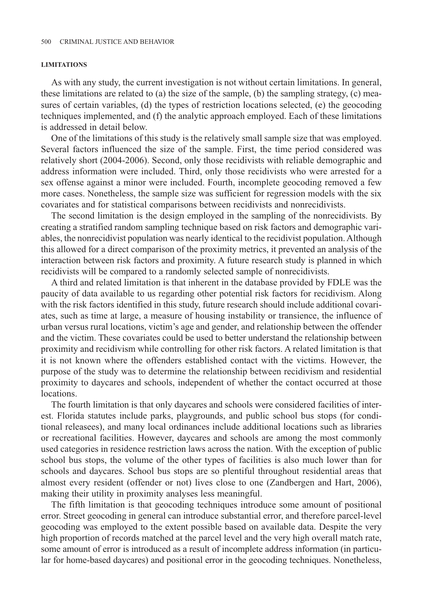## **LIMITATIONS**

As with any study, the current investigation is not without certain limitations. In general, these limitations are related to (a) the size of the sample, (b) the sampling strategy, (c) measures of certain variables, (d) the types of restriction locations selected, (e) the geocoding techniques implemented, and (f) the analytic approach employed. Each of these limitations is addressed in detail below.

One of the limitations of this study is the relatively small sample size that was employed. Several factors influenced the size of the sample. First, the time period considered was relatively short (2004-2006). Second, only those recidivists with reliable demographic and address information were included. Third, only those recidivists who were arrested for a sex offense against a minor were included. Fourth, incomplete geocoding removed a few more cases. Nonetheless, the sample size was sufficient for regression models with the six covariates and for statistical comparisons between recidivists and nonrecidivists.

The second limitation is the design employed in the sampling of the nonrecidivists. By creating a stratified random sampling technique based on risk factors and demographic variables, the nonrecidivist population was nearly identical to the recidivist population. Although this allowed for a direct comparison of the proximity metrics, it prevented an analysis of the interaction between risk factors and proximity. A future research study is planned in which recidivists will be compared to a randomly selected sample of nonrecidivists.

A third and related limitation is that inherent in the database provided by FDLE was the paucity of data available to us regarding other potential risk factors for recidivism. Along with the risk factors identified in this study, future research should include additional covariates, such as time at large, a measure of housing instability or transience, the influence of urban versus rural locations, victim's age and gender, and relationship between the offender and the victim. These covariates could be used to better understand the relationship between proximity and recidivism while controlling for other risk factors. A related limitation is that it is not known where the offenders established contact with the victims. However, the purpose of the study was to determine the relationship between recidivism and residential proximity to daycares and schools, independent of whether the contact occurred at those locations.

The fourth limitation is that only daycares and schools were considered facilities of interest. Florida statutes include parks, playgrounds, and public school bus stops (for conditional releasees), and many local ordinances include additional locations such as libraries or recreational facilities. However, daycares and schools are among the most commonly used categories in residence restriction laws across the nation. With the exception of public school bus stops, the volume of the other types of facilities is also much lower than for schools and daycares. School bus stops are so plentiful throughout residential areas that almost every resident (offender or not) lives close to one (Zandbergen and Hart, 2006), making their utility in proximity analyses less meaningful.

The fifth limitation is that geocoding techniques introduce some amount of positional error. Street geocoding in general can introduce substantial error, and therefore parcel-level geocoding was employed to the extent possible based on available data. Despite the very high proportion of records matched at the parcel level and the very high overall match rate, some amount of error is introduced as a result of incomplete address information (in particular for home-based daycares) and positional error in the geocoding techniques. Nonetheless,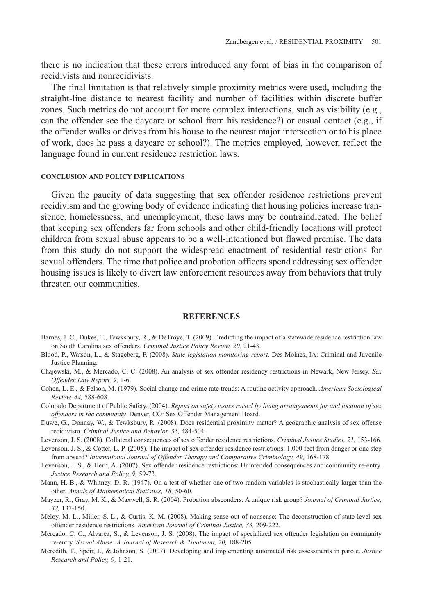there is no indication that these errors introduced any form of bias in the comparison of recidivists and nonrecidivists.

The final limitation is that relatively simple proximity metrics were used, including the straight-line distance to nearest facility and number of facilities within discrete buffer zones. Such metrics do not account for more complex interactions, such as visibility (e.g., can the offender see the daycare or school from his residence?) or casual contact (e.g., if the offender walks or drives from his house to the nearest major intersection or to his place of work, does he pass a daycare or school?). The metrics employed, however, reflect the language found in current residence restriction laws.

#### **CONCLUSION AND POLICY IMPLICATIONS**

Given the paucity of data suggesting that sex offender residence restrictions prevent recidivism and the growing body of evidence indicating that housing policies increase transience, homelessness, and unemployment, these laws may be contraindicated. The belief that keeping sex offenders far from schools and other child-friendly locations will protect children from sexual abuse appears to be a well-intentioned but flawed premise. The data from this study do not support the widespread enactment of residential restrictions for sexual offenders. The time that police and probation officers spend addressing sex offender housing issues is likely to divert law enforcement resources away from behaviors that truly threaten our communities.

## **REFERENCES**

- Barnes, J. C., Dukes, T., Tewksbury, R., & DeTroye, T. (2009). Predicting the impact of a statewide residence restriction law on South Carolina sex offenders. *Criminal Justice Policy Review, 20,* 21-43.
- Blood, P., Watson, L., & Stageberg, P. (2008). *State legislation monitoring report.* Des Moines, IA: Criminal and Juvenile Justice Planning.
- Chajewski, M., & Mercado, C. C. (2008). An analysis of sex offender residency restrictions in Newark, New Jersey. *Sex Offender Law Report, 9,* 1-6.
- Cohen, L. E., & Felson, M. (1979). Social change and crime rate trends: A routine activity approach. *American Sociological Review, 44,* 588-608.
- Colorado Department of Public Safety. (2004). *Report on safety issues raised by living arrangements for and location of sex offenders in the community.* Denver, CO: Sex Offender Management Board.
- Duwe, G., Donnay, W., & Tewksbury, R. (2008). Does residential proximity matter? A geographic analysis of sex offense recidivism. *Criminal Justice and Behavior, 35,* 484-504.
- Levenson, J. S. (2008). Collateral consequences of sex offender residence restrictions. *Criminal Justice Studies, 21,* 153-166.
- Levenson, J. S., & Cotter, L. P. (2005). The impact of sex offender residence restrictions: 1,000 feet from danger or one step from absurd? *International Journal of Offender Therapy and Comparative Criminology, 49, 168-178.*
- Levenson, J. S., & Hern, A. (2007). Sex offender residence restrictions: Unintended consequences and community re-entry. *Justice Research and Policy, 9,* 59-73.
- Mann, H. B., & Whitney, D. R. (1947). On a test of whether one of two random variables is stochastically larger than the other. *Annals of Mathematical Statistics, 18,* 50-60.
- Mayzer, R., Gray, M. K., & Maxwell, S. R. (2004). Probation absconders: A unique risk group? *Journal of Criminal Justice, 32,* 137-150.
- Meloy, M. L., Miller, S. L., & Curtis, K. M. (2008). Making sense out of nonsense: The deconstruction of state-level sex offender residence restrictions. *American Journal of Criminal Justice, 33,* 209-222.
- Mercado, C. C., Alvarez, S., & Levenson, J. S. (2008). The impact of specialized sex offender legislation on community re-entry. *Sexual Abuse: A Journal of Research & Treatment, 20, 188-205.*
- Meredith, T., Speir, J., & Johnson, S. (2007). Developing and implementing automated risk assessments in parole. *Justice Research and Policy, 9,* 1-21.